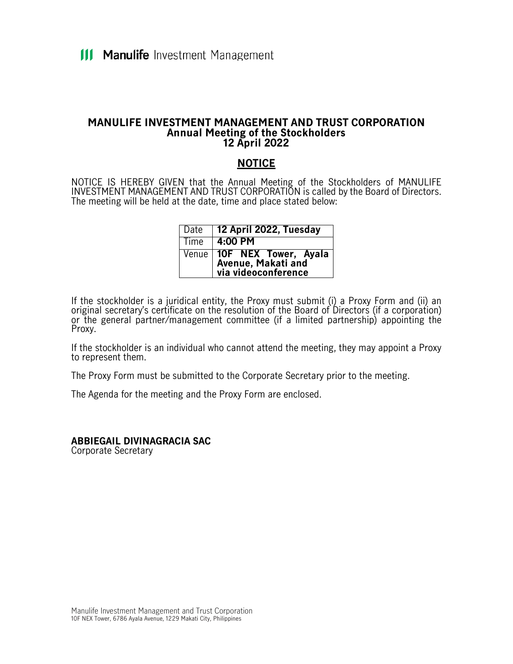#### **MANULIFE INVESTMENT MANAGEMENT AND TRUST CORPORATION Annual Meeting of the Stockholders 12 April 2022**

## **NOTICE**

NOTICE IS HEREBY GIVEN that the Annual Meeting of the Stockholders of MANULIFE INVESTMENT MANAGEMENT AND TRUST CORPORATION is called by the Board of Directors. The meeting will be held at the date, time and place stated below:

| l Date | 12 April 2022, Tuesday                                                 |
|--------|------------------------------------------------------------------------|
| Time   | 4:00 PM                                                                |
|        | Venue 10F NEX Tower, Ayala<br>Avenue, Makatiand<br>via videoconference |

If the stockholder is a juridical entity, the Proxy must submit (i) a Proxy Form and (ii) an original secretary's certificate on the resolution of the Board of Directors (if a corporation) or the general partner/management committee (if a limited partnership) appointing the Proxy.

If the stockholder is an individual who cannot attend the meeting, they may appoint a Proxy to represent them.

The Proxy Form must be submitted to the Corporate Secretary prior to the meeting.

The Agenda for the meeting and the Proxy Form are enclosed.

**ABBIEGAIL DIVINAGRACIA SAC** Corporate Secretary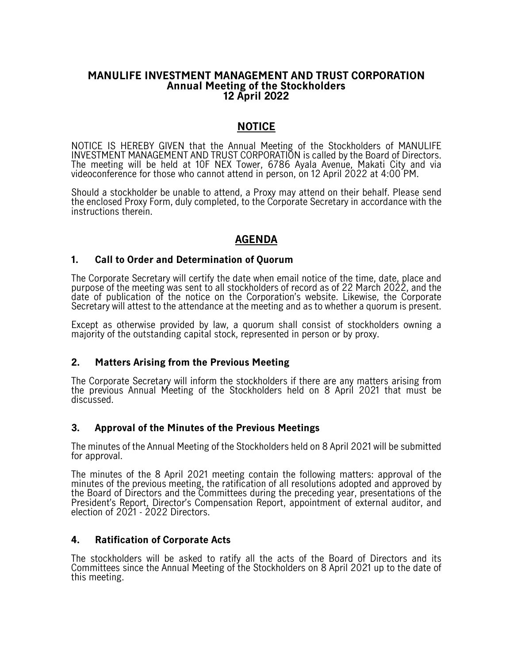#### **MANULIFE INVESTMENT MANAGEMENT AND TRUST CORPORATION Annual Meeting of the Stockholders 12 April 2022**

## **NOTICE**

NOTICE IS HEREBY GIVEN that the Annual Meeting of the Stockholders of MANULIFE INVESTMENT MANAGEMENT AND TRUST CORPORATION is called by the Board of Directors. The meeting will be held at 10F NEX Tower, 6786 Ayala Avenue, Makati City and via videoconference for those who cannot attend in person, on 12 April 2022 at 4:00 PM.

Should a stockholder be unable to attend, a Proxy may attend on their behalf. Please send the enclosed Proxy Form, duly completed, to the Corporate Secretary in accordance with the instructions therein.

# **AGENDA**

#### **1. Call to Order and Determination of Quorum**

The Corporate Secretary will certify the date when email notice of the time, date, place and purpose of the meeting was sent to all stockholders of record as of 22 March 2022, and the date of publication of the notice on the Corporation's website. Likewise, the Corporate Secretary will attest to the attendance at the meeting and as to whether a quorum is present.

Except as otherwise provided by law, a quorum shall consist of stockholders owning a majority of the outstanding capital stock, represented in person or by proxy.

#### **2. Matters Arising from the Previous Meeting**

The Corporate Secretary will inform the stockholders if there are any matters arising from the previous Annual Meeting of the Stockholders held on 8 April 2021 that must be discussed.

#### **3. Approval of the Minutes of the Previous Meetings**

The minutes of the Annual Meeting of the Stockholders held on 8 April 2021 will be submitted for approval.

The minutes of the 8 April 2021 meeting contain the following matters: approval of the minutes of the previous meeting, the ratification of all resolutions adopted and approved by the Board of Directors and the Committees during the preceding year, presentations of the President's Report, Director's Compensation Report, appointment of external auditor, and election of 2021 - 2022 Directors.

#### **4. Ratification of Corporate Acts**

The stockholders will be asked to ratify all the acts of the Board of Directors and its Committees since the Annual Meeting of the Stockholders on 8 April 2021 up to the date of this meeting.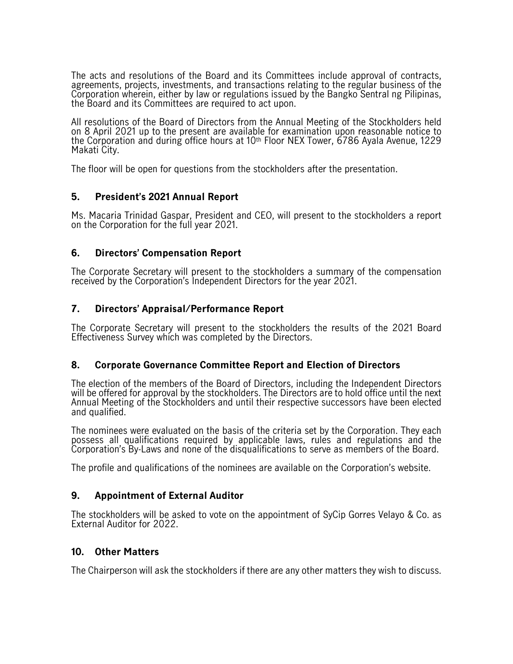The acts and resolutions of the Board and its Committees include approval of contracts, agreements, projects, investments, and transactions relating to the regular business of the Corporation wherein, either by law or regulations issued by the Bangko Sentral ng Pilipinas, the Board and its Committees are required to act upon.

All resolutions of the Board of Directors from the Annual Meeting of the Stockholders held on 8 April 2021 up to the present are available for examination upon reasonable notice to the Corporation and during office hours at 10th Floor NEX Tower, 6786 Ayala Avenue, 1229 Makati City.

The floor will be open for questions from the stockholders after the presentation.

## **5. President's 2021 Annual Report**

Ms. Macaria Trinidad Gaspar, President and CEO, will present to the stockholders a report on the Corporation for the full year 2021.

## **6. Directors' Compensation Report**

The Corporate Secretary will present to the stockholders a summary of the compensation received by the Corporation's Independent Directors for the year 2021.

## **7. Directors' Appraisal/Performance Report**

The Corporate Secretary will present to the stockholders the results of the 2021 Board Effectiveness Survey which was completed by the Directors.

#### **8. Corporate Governance Committee Report and Election of Directors**

The election of the members of the Board of Directors, including the Independent Directors will be offered for approval by the stockholders. The Directors are to hold office until the next Annual Meeting of the Stockholders and until their respective successors have been elected and qualified.

The nominees were evaluated on the basis of the criteria set by the Corporation. They each possess all qualifications required by applicable laws, rules and regulations and the Corporation's By-Laws and none of the disqualifications to serve as members of the Board.

The profile and qualifications of the nominees are available on the Corporation's website.

#### **9. Appointment of External Auditor**

The stockholders will be asked to vote on the appointment of SyCip Gorres Velayo & Co. as External Auditor for 2022.

#### **10. Other Matters**

The Chairperson will ask the stockholders if there are any other matters they wish to discuss.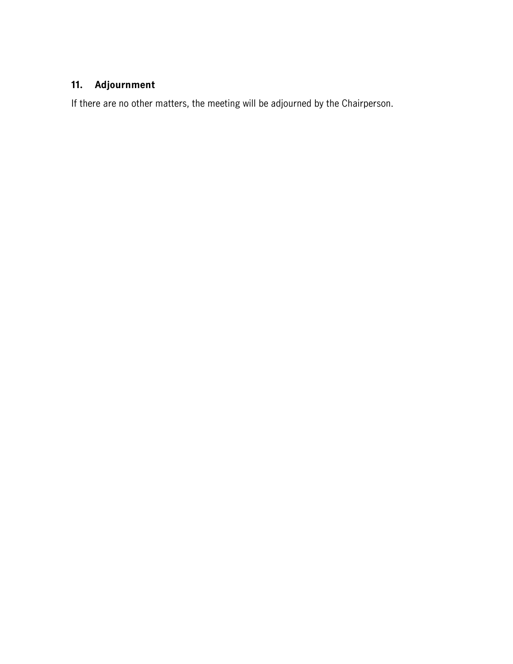# **11. Adjournment**

If there are no other matters, the meeting will be adjourned by the Chairperson.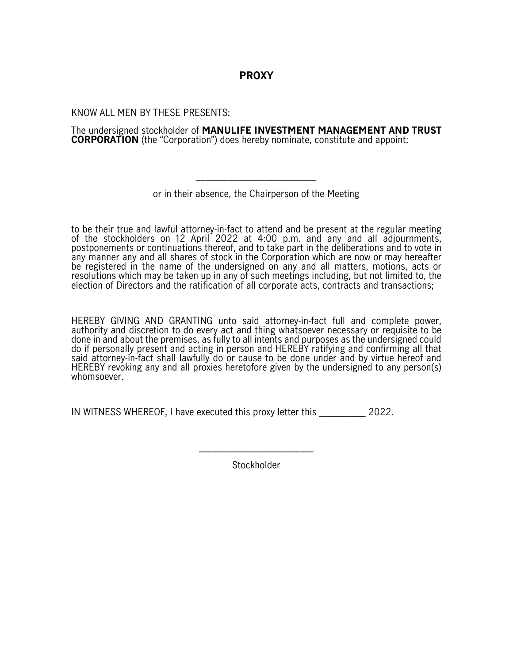# **PROXY**

KNOW ALL MEN BY THESE PRESENTS:

The undersigned stockholder of **MANULIFE INVESTMENT MANAGEMENT AND TRUST CORPORATION** (the "Corporation") does hereby nominate, constitute and appoint:

or in their absence, the Chairperson of the Meeting

\_\_\_\_\_\_\_\_\_\_\_\_\_\_\_\_\_\_\_\_\_\_\_\_\_\_

to be their true and lawful attorney-in-fact to attend and be present at the regular meeting of the stockholders on 12 April 2022 at 4:00 p.m. and any and all adjournments, postponements or continuations thereof, and to take part in the deliberations and to vote in any manner any and all shares of stock in the Corporation which are now or may hereafter be registered in the name of the undersigned on any and all matters, motions, acts or resolutions which may be taken up in any of such meetings including, but not limited to, the election of Directors and the ratification of all corporate acts, contracts and transactions;

HEREBY GIVING AND GRANTING unto said attorney-in-fact full and complete power, authority and discretion to do every act and thing whatsoever necessary or requisite to be done in and about the premises, as fully to all intents and purposes as the undersigned could do if personally present and acting in person and HEREBY ratifying and confirming all that said attorney-in-fact shall lawfully do or cause to be done under and by virtue hereof and HEREBY revoking any and all proxies heretofore given by the undersigned to any person(s) whomsoever.

IN WITNESS WHEREOF, I have executed this proxy letter this \_\_\_\_\_\_\_\_\_\_\_ 2022.

Stockholder

 $\overline{\phantom{a}}$  , where the contract of the contract of the contract of the contract of the contract of the contract of the contract of the contract of the contract of the contract of the contract of the contract of the contr